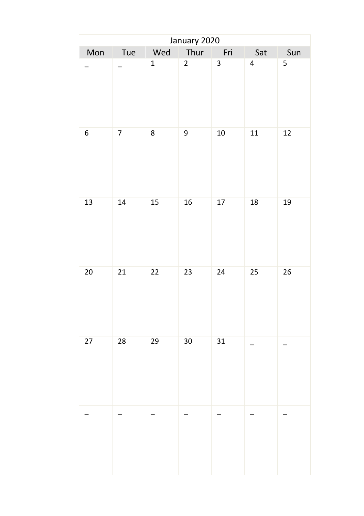| January 2020 |                         |              |                |                         |                |     |  |  |
|--------------|-------------------------|--------------|----------------|-------------------------|----------------|-----|--|--|
| Mon          | Tue                     | Wed          | Thur           | Fri                     | Sat            | Sun |  |  |
|              |                         | $\mathbf{1}$ | $\overline{2}$ | $\overline{\mathbf{3}}$ | $\overline{4}$ | 5   |  |  |
| 6            | $\overline{\mathbf{7}}$ | 8            | 9              | $10\,$                  | 11             | 12  |  |  |
| 13           | 14                      | 15           | 16             | 17                      | 18             | 19  |  |  |
| 20           | 21                      | 22           | 23             | 24                      | 25             | 26  |  |  |
| 27           | 28                      | 29           | 30             | 31                      |                |     |  |  |
|              |                         |              |                |                         |                |     |  |  |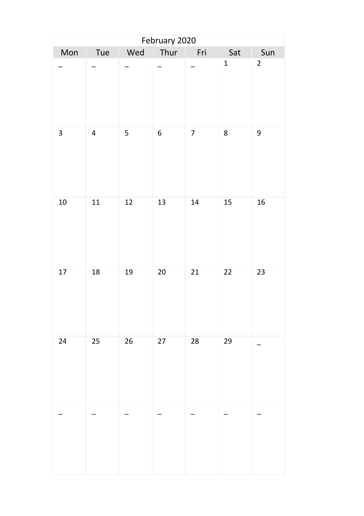| February 2020 |                |     |      |                |              |                |  |  |
|---------------|----------------|-----|------|----------------|--------------|----------------|--|--|
| Mon           | Tue            | Wed | Thur | Fri            | Sat          | Sun            |  |  |
|               |                |     |      |                | $\mathbf{1}$ | $\overline{2}$ |  |  |
| 3             | $\overline{4}$ | 5   | 6    | $\overline{7}$ | 8            | 9              |  |  |
| $10\,$        | 11             | 12  | 13   | 14             | 15           | 16             |  |  |
| $17\,$        | 18             | 19  | 20   | $21\,$         | 22           | 23             |  |  |
| 24            | 25             | 26  | 27   | 28             | 29           |                |  |  |
|               |                |     |      |                |              |                |  |  |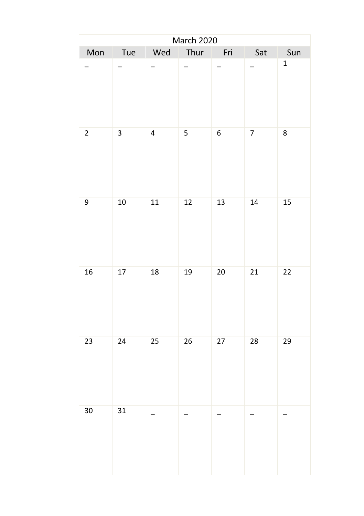|                |                         |                          | <b>March 2020</b> |                |                          |              |
|----------------|-------------------------|--------------------------|-------------------|----------------|--------------------------|--------------|
| Mon            | Tue                     | Wed                      | Thur              | Fri            | Sat                      | Sun          |
|                |                         |                          | Ξ.                |                | $\frac{1}{2}$            | $\mathbf{1}$ |
| $\overline{2}$ | $\overline{\mathbf{3}}$ | $\overline{4}$           | 5 <sup>1</sup>    | 6 <sup>1</sup> | 7 <sup>7</sup>           | 8            |
| 9              | 10                      | 11                       | 12                | 13             | 14                       | 15           |
| 16             | 17                      | 18                       | 19                | 20             | 21                       | 22           |
| 23             | 24                      | 25                       | 26                | 27             | 28                       | 29           |
| 30             | 31                      | $\overline{\phantom{0}}$ |                   |                | $\overline{\phantom{0}}$ |              |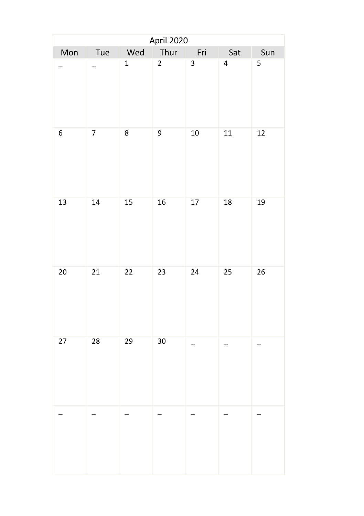| April 2020 |                          |              |                |              |                         |     |  |  |
|------------|--------------------------|--------------|----------------|--------------|-------------------------|-----|--|--|
| Mon        | Tue                      | Wed          | Thur           | Fri          | Sat                     | Sun |  |  |
|            |                          | $\mathbf{1}$ | $\overline{2}$ | $\mathbf{3}$ | $\overline{\mathbf{4}}$ | 5   |  |  |
| 6          | $\overline{\mathcal{I}}$ | 8            | 9              | $10\,$       | 11                      | 12  |  |  |
| 13         | 14                       | 15           | 16             | 17           | 18                      | 19  |  |  |
| $20\,$     | 21                       | 22           | 23             | 24           | 25                      | 26  |  |  |
| 27         | 28                       | 29           | 30             |              |                         |     |  |  |
|            |                          |              |                |              |                         |     |  |  |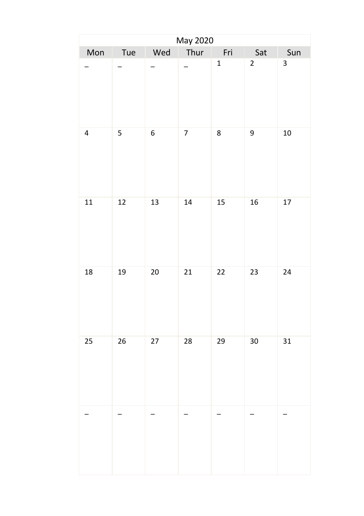|           |                         |        | May 2020       |              |                |     |
|-----------|-------------------------|--------|----------------|--------------|----------------|-----|
| Mon       | Tue                     | Wed    | Thur           | Fri          | Sat            | Sun |
|           |                         | -      | $\overline{a}$ | $\mathbf{1}$ | $\overline{2}$ | 3   |
| $\pmb{4}$ | $\overline{\mathbf{5}}$ | 6      | $\overline{7}$ | 8            | 9              | 10  |
| 11        | 12                      | 13     | 14             | 15           | 16             | 17  |
| 18        | 19                      | $20\,$ | 21             | 22           | 23             | 24  |
| 25        | 26                      | 27     | 28             | 29           | 30             | 31  |
|           | L                       |        |                |              |                |     |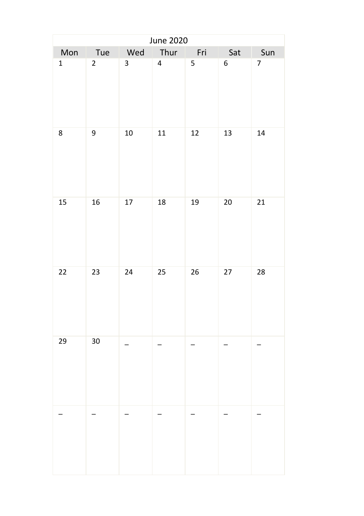|              |                 |     | June 2020               |     |        |                |
|--------------|-----------------|-----|-------------------------|-----|--------|----------------|
| Mon          | Tue             | Wed | Thur                    | Fri | Sat    | Sun            |
| $\mathbf{1}$ | $\overline{2}$  | 3   | $\overline{\mathbf{4}}$ | 5   | 6      | $\overline{7}$ |
| 8            | 9               | 10  | 11                      | 12  | 13     | 14             |
| 15           | 16              | 17  | 18                      | 19  | $20\,$ | 21             |
| 22           | 23              | 24  | 25                      | 26  | $27\,$ | 28             |
| 29           | 30 <sub>o</sub> |     |                         |     |        |                |
|              |                 |     |                         |     |        |                |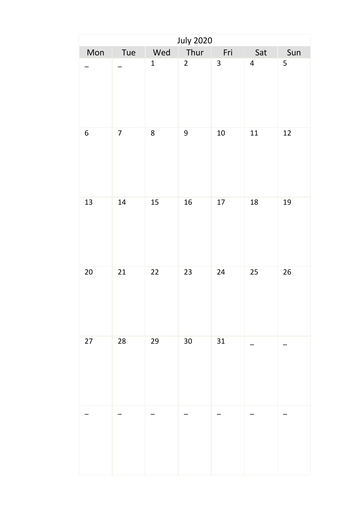| <b>July 2020</b> |                |                |                |                         |                |                         |  |  |
|------------------|----------------|----------------|----------------|-------------------------|----------------|-------------------------|--|--|
| Mon              | Tue            | Wed            | Thur           | Fri                     | Sat            | Sun                     |  |  |
|                  |                | $\overline{1}$ | $\overline{2}$ | $\overline{\mathbf{3}}$ | $\overline{4}$ | $\overline{\mathbf{5}}$ |  |  |
| 6                | $\overline{7}$ | 8              | 9              | $10\,$                  | ${\bf 11}$     | 12                      |  |  |
| 13               | 14             | 15             | 16             | 17                      | 18             | 19                      |  |  |
| 20               | 21             | 22             | 23             | 24                      | 25             | 26                      |  |  |
| 27               | 28             | 29             | 30             | 31                      |                |                         |  |  |
|                  |                |                |                |                         |                |                         |  |  |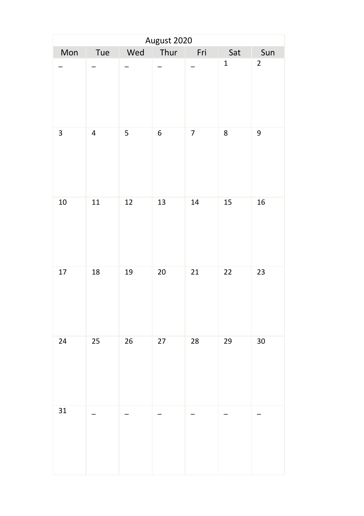|        |                          |     | August 2020 |                |              |                |
|--------|--------------------------|-----|-------------|----------------|--------------|----------------|
| Mon    | Tue                      | Wed | Thur        | Fri            | Sat          | Sun            |
|        |                          |     |             |                | $\mathbf{1}$ | $\overline{2}$ |
| 3      | $\overline{4}$           | 5   | 6           | $\overline{7}$ | 8            | 9              |
| 10     | 11                       | 12  | 13          | 14             | 15           | 16             |
| $17\,$ | 18                       | 19  | 20          | 21             | 22           | 23             |
| 24     | 25                       | 26  | 27          | 28             | 29           | 30             |
| 31     | $\overline{\phantom{0}}$ |     |             |                |              |                |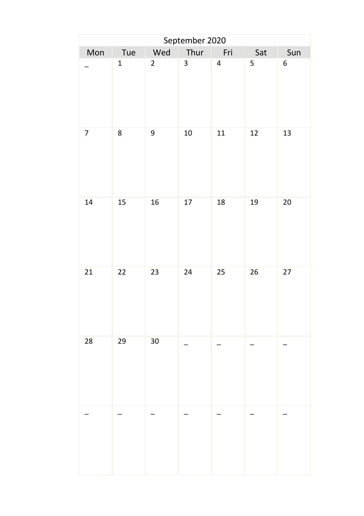| September 2020 |                |                |      |                         |                         |                |  |  |
|----------------|----------------|----------------|------|-------------------------|-------------------------|----------------|--|--|
| Mon            | Tue            | Wed            | Thur | Fri                     | Sat                     | Sun            |  |  |
|                | $\overline{1}$ | $\overline{2}$ | 3    | $\overline{\mathbf{4}}$ | $\overline{\mathbf{5}}$ | $\overline{6}$ |  |  |
| $\overline{7}$ | 8              | 9              | 10   | 11                      | 12                      | 13             |  |  |
| 14             | 15             | 16             | 17   | 18                      | 19                      | 20             |  |  |
| 21             | 22             | 23             | 24   | 25                      | 26                      | 27             |  |  |
| 28             | 29             | 30             |      |                         |                         |                |  |  |
|                |                |                |      |                         |                         |                |  |  |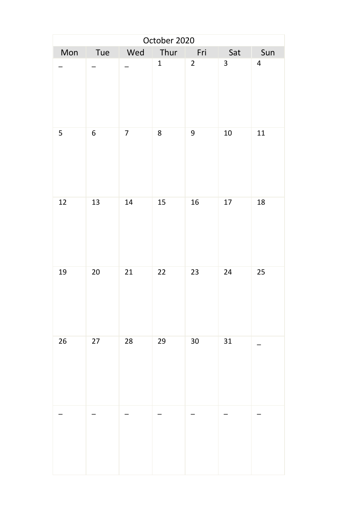| October 2020 |        |                  |              |                |                 |                         |  |  |
|--------------|--------|------------------|--------------|----------------|-----------------|-------------------------|--|--|
| Mon          | Tue    | Wed              | Thur         | Fri            | Sat             | Sun                     |  |  |
|              |        |                  | $\mathbf{1}$ | $\overline{2}$ | $\overline{3}$  | $\overline{\mathbf{4}}$ |  |  |
| 5            | 6      | $\boldsymbol{7}$ | 8            | 9              | 10 <sub>1</sub> | $11\,$                  |  |  |
| $12\,$       | 13     | 14               | 15           | 16             | 17              | 18                      |  |  |
| 19           | $20\,$ | 21               | 22           | 23             | 24              | 25                      |  |  |
| 26           | 27     | 28               | 29           | 30             | 31              |                         |  |  |
|              |        |                  |              |                |                 |                         |  |  |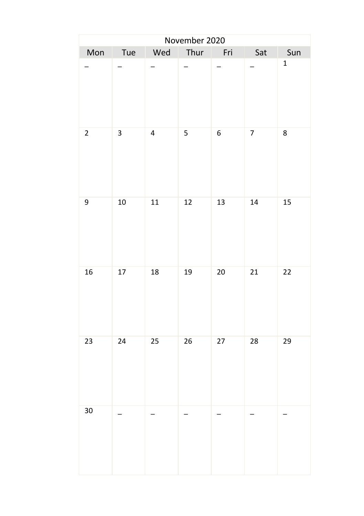|              |                          |                | November 2020            |                 |                          |              |
|--------------|--------------------------|----------------|--------------------------|-----------------|--------------------------|--------------|
| Mon          | Tue                      |                | Wed Thur Fri             |                 | Sat                      | Sun          |
|              |                          | -              | $\overline{\phantom{0}}$ |                 | $\overline{\phantom{0}}$ | $\mathbf{1}$ |
| $\mathbf{2}$ | $\overline{\mathbf{3}}$  | $\overline{4}$ | 5 <sup>1</sup>           | 6 <sup>1</sup>  | 7 <sup>7</sup>           | 8            |
| 9            | 10                       | 11             | 12                       | 13              | 14                       | 15           |
| 16           | 17                       | 18             | 19                       | 20 <sub>2</sub> | 21                       | 22           |
| 23           | 24                       | 25             | 26                       | 27              | 28                       | 29           |
| 30           | $\overline{\phantom{0}}$ |                |                          |                 |                          |              |